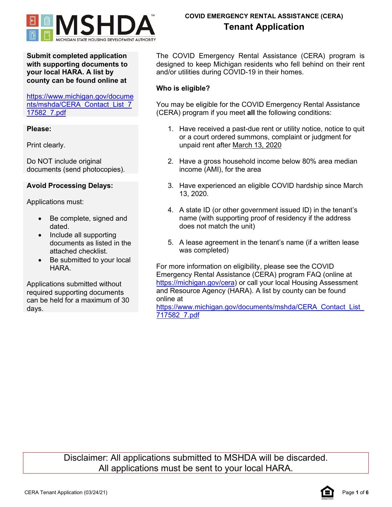

**Submit completed application with supporting documents to your local HARA. A list by county can be found online at**

[https://www.michigan.gov/docume](https://www.michigan.gov/documents/mshda/CERA_Contact_List_717582_7.pdf) [nts/mshda/CERA\\_Contact\\_List\\_7](https://www.michigan.gov/documents/mshda/CERA_Contact_List_717582_7.pdf) [17582\\_7.pdf](https://www.michigan.gov/documents/mshda/CERA_Contact_List_717582_7.pdf)

### **Please:**

Print clearly.

Do NOT include original documents (send photocopies).

# **Avoid Processing Delays:**

Applications must:

- Be complete, signed and dated.
- Include all supporting documents as listed in the attached checklist.
- Be submitted to your local **HARA**

Applications submitted without required supporting documents can be held for a maximum of 30 days.

The COVID Emergency Rental Assistance (CERA) program is designed to keep Michigan residents who fell behind on their rent and/or utilities during COVID-19 in their homes.

### **Who is eligible?**

You may be eligible for the COVID Emergency Rental Assistance (CERA) program if you meet **all** the following conditions:

- 1. Have received a past-due rent or utility notice, notice to quit or a court ordered summons, complaint or judgment for unpaid rent after March 13, 2020
- 2. Have a gross household income below 80% area median income (AMI), for the area
- 3. Have experienced an eligible COVID hardship since March 13, 2020.
- 4. A state ID (or other government issued ID) in the tenant's name (with supporting proof of residency if the address does not match the unit)
- 5. A lease agreement in the tenant's name (if a written lease was completed)

For more information on eligibility, please see the COVID Emergency Rental Assistance (CERA) program FAQ (online at [https://michigan.gov/cera\)](https://michigan.gov/edp) or call your local Housing Assessment and Resource Agency (HARA). A list by county can be found online at

https://www.michigan.gov/documents/mshda/CERA\_Contact\_List [717582\\_7.pdf](https://www.michigan.gov/documents/mshda/CERA_Contact_List_717582_7.pdf)

Disclaimer: All applications submitted to MSHDA will be discarded. All applications must be sent to your local HARA.

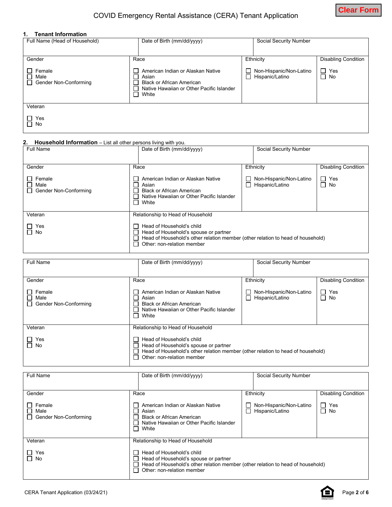

#### **1. Tenant Information**

| Date of Birth (mm/dd/yyyy)                                                                                                                     | Social Security Number                     |                            |  |
|------------------------------------------------------------------------------------------------------------------------------------------------|--------------------------------------------|----------------------------|--|
| Race                                                                                                                                           | Ethnicity                                  | <b>Disabling Condition</b> |  |
| American Indian or Alaskan Native<br>Asian<br>П<br><b>Black or African American</b><br>Native Hawaiian or Other Pacific Islander<br>П<br>White | Non-Hispanic/Non-Latino<br>Hispanic/Latino | $\Box$ Yes<br>$\Box$ No    |  |
|                                                                                                                                                |                                            |                            |  |
|                                                                                                                                                |                                            |                            |  |
|                                                                                                                                                |                                            |                            |  |

### **2. Household Information** – List all other persons living with you.

| Full Name                               | Date of Birth (mm/dd/yyyy)                                                                                                                                                          | Social Security Number                     |                            |
|-----------------------------------------|-------------------------------------------------------------------------------------------------------------------------------------------------------------------------------------|--------------------------------------------|----------------------------|
| Gender                                  | Race                                                                                                                                                                                | Ethnicity                                  | <b>Disabling Condition</b> |
| Female<br>Male<br>Gender Non-Conforming | American Indian or Alaskan Native<br>Asian<br><b>Black or African American</b><br>Native Hawaiian or Other Pacific Islander<br>White                                                | Non-Hispanic/Non-Latino<br>Hispanic/Latino | Yes<br>ΙI<br>∩ No          |
| Veteran                                 | Relationship to Head of Household                                                                                                                                                   |                                            |                            |
| Yes<br>l No                             | Head of Household's child<br>Head of Household's spouse or partner<br>Head of Household's other relation member (other relation to head of household)<br>Other: non-relation member |                                            |                            |

| Full Name                                         | Date of Birth (mm/dd/yyyy)                                                                                                                                                          | Social Security Number                     |                            |
|---------------------------------------------------|-------------------------------------------------------------------------------------------------------------------------------------------------------------------------------------|--------------------------------------------|----------------------------|
| Gender                                            | Race                                                                                                                                                                                | Ethnicity                                  | <b>Disabling Condition</b> |
| Female<br>П<br>Male<br>Gender Non-Conforming<br>П | American Indian or Alaskan Native<br>Asian<br><b>Black or African American</b><br>Native Hawaiian or Other Pacific Islander<br>П<br>White                                           | Non-Hispanic/Non-Latino<br>Hispanic/Latino | $\Box$<br>Yes<br>$\Box$ No |
| Veteran                                           | Relationship to Head of Household                                                                                                                                                   |                                            |                            |
| Yes<br>$\Box$ No                                  | Head of Household's child<br>Head of Household's spouse or partner<br>Head of Household's other relation member (other relation to head of household)<br>Other: non-relation member |                                            |                            |

| Full Name                                                    | Date of Birth (mm/dd/yyyy)                                                                                                                                                          |           | Social Security Number                     |                            |
|--------------------------------------------------------------|-------------------------------------------------------------------------------------------------------------------------------------------------------------------------------------|-----------|--------------------------------------------|----------------------------|
| Gender                                                       | Race                                                                                                                                                                                | Ethnicity |                                            | <b>Disabling Condition</b> |
| Female<br>$\mathsf{L}$<br>П<br>Male<br>Gender Non-Conforming | American Indian or Alaskan Native<br>Asian<br><b>Black or African American</b><br>Native Hawaiian or Other Pacific Islander<br>$\Box$<br>White                                      |           | Non-Hispanic/Non-Latino<br>Hispanic/Latino | Yes<br>П<br>П<br>No        |
| Veteran                                                      | Relationship to Head of Household                                                                                                                                                   |           |                                            |                            |
| Yes<br>$\Box$<br>$\Box$ No                                   | Head of Household's child<br>Head of Household's spouse or partner<br>Head of Household's other relation member (other relation to head of household)<br>Other: non-relation member |           |                                            |                            |

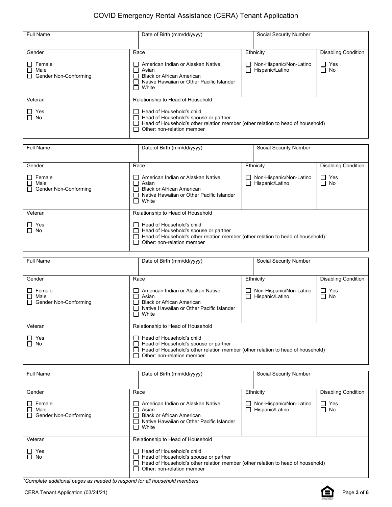| <b>Full Name</b>                               | Date of Birth (mm/dd/yyyy)<br><b>Social Security Number</b>                                                                                                                                                                                |                                            |                            |  |
|------------------------------------------------|--------------------------------------------------------------------------------------------------------------------------------------------------------------------------------------------------------------------------------------------|--------------------------------------------|----------------------------|--|
|                                                |                                                                                                                                                                                                                                            |                                            |                            |  |
| Gender                                         | Race                                                                                                                                                                                                                                       | Ethnicity                                  |                            |  |
| Female<br>Male<br>□ Gender Non-Conforming      | American Indian or Alaskan Native<br>$\Box$<br>$\Box$<br>Asian<br>$\Box$<br><b>Black or African American</b><br>Native Hawaiian or Other Pacific Islander<br>П<br>П<br>White                                                               | Non-Hispanic/Non-Latino<br>Hispanic/Latino | $\Box$ Yes<br>П<br>No      |  |
| Veteran                                        | Relationship to Head of Household                                                                                                                                                                                                          |                                            |                            |  |
| Yes<br>∩ No                                    | Head of Household's child<br>ΙI<br>Head of Household's spouse or partner<br>П<br>Head of Household's other relation member (other relation to head of household)<br>$\Box$<br>П<br>Other: non-relation member                              |                                            |                            |  |
| <b>Full Name</b>                               | Date of Birth (mm/dd/yyyy)                                                                                                                                                                                                                 | Social Security Number                     |                            |  |
| Gender                                         | Race                                                                                                                                                                                                                                       | Ethnicity                                  | <b>Disabling Condition</b> |  |
| Female<br>Male<br><b>Gender Non-Conforming</b> | American Indian or Alaskan Native<br>ப<br>$\Box$<br>Asian<br>$\Box$<br><b>Black or African American</b><br>Native Hawaiian or Other Pacific Islander<br>П<br>П<br>White                                                                    | Non-Hispanic/Non-Latino<br>Hispanic/Latino |                            |  |
| Veteran                                        | Relationship to Head of Household                                                                                                                                                                                                          |                                            |                            |  |
| Yes<br>$\Box$ No                               | Head of Household's child<br>$\Box$<br>Head of Household's spouse or partner<br>ப<br>Head of Household's other relation member (other relation to head of household)<br>П<br>Other: non-relation member<br>П                               |                                            |                            |  |
| <b>Full Name</b>                               | Date of Birth (mm/dd/yyyy)                                                                                                                                                                                                                 | Social Security Number                     |                            |  |
|                                                |                                                                                                                                                                                                                                            |                                            |                            |  |
| Gender                                         | Race                                                                                                                                                                                                                                       | Ethnicity                                  | <b>Disabling Condition</b> |  |
| Female<br>Male<br>Gender Non-Conforming        | American Indian or Alaskan Native<br>Non-Hispanic/Non-Latino<br>ப<br>Hispanic/Latino<br>$\Box$<br>Asian<br>$\Box$<br><b>Black or African American</b><br>$\Box$<br>П<br>Native Hawaiian or Other Pacific Islander<br>White<br>$\Box$       |                                            | $\Box$ Yes<br>$\Box$<br>No |  |
| Veteran                                        | Relationship to Head of Household                                                                                                                                                                                                          |                                            |                            |  |
| Yes<br>$\Box$ No                               | Head of Household's child<br>$\blacksquare$<br>Head of Household's spouse or partner<br>$\mathsf{L}$<br>Head of Household's other relation member (other relation to head of household)<br>$\mathsf{L}$<br>Other: non-relation member<br>П |                                            |                            |  |
| Full Name                                      | Date of Birth (mm/dd/yyyy)                                                                                                                                                                                                                 | Social Security Number                     |                            |  |
| Gender                                         | Race                                                                                                                                                                                                                                       | Ethnicity                                  | <b>Disabling Condition</b> |  |
| Female<br>Male<br>Gender Non-Conforming        | American Indian or Alaskan Native<br>Non-Hispanic/Non-Latino<br>Hispanic/Latino<br>$\Box$<br>Asian<br>$\Box$<br><b>Black or African American</b><br>Native Hawaiian or Other Pacific Islander<br>П<br>White                                |                                            | $\Box$ Yes<br>$\Box$ No    |  |
| Veteran                                        | Relationship to Head of Household                                                                                                                                                                                                          |                                            |                            |  |
| Yes<br>No                                      | Head of Household's child<br>ப<br>Head of Household's spouse or partner<br>Head of Household's other relation member (other relation to head of household)<br>Other: non-relation member<br>$\mathsf{L}$                                   |                                            |                            |  |

*\*Complete additional pages as needed to respond for all household members*

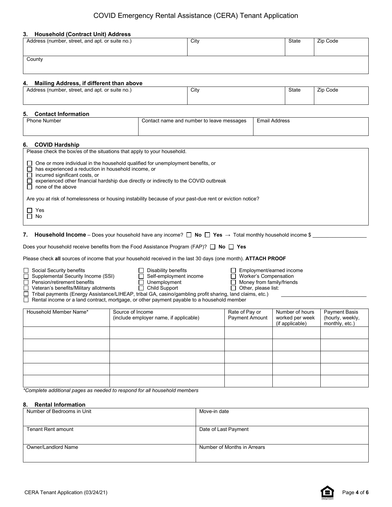#### **3. Household (Contract Unit) Address**

| Address (number, street, and apt. or suite no.) | City | State | Zip Code |
|-------------------------------------------------|------|-------|----------|
|                                                 |      |       |          |
| County                                          |      |       |          |
|                                                 |      |       |          |

### **4. Mailing Address, if different than above**

| Address (number, street, and apt. or suite no.) | City | State | Zip<br>Code |
|-------------------------------------------------|------|-------|-------------|
|                                                 |      |       |             |

#### **5. Contact Information**

| Dh.<br>Number<br>hone | Contact name and number to leave messages | .<br>Email<br>I Address |
|-----------------------|-------------------------------------------|-------------------------|
|                       |                                           |                         |

### **6. COVID Hardship**

| Please check the box/es of the situations that apply to your household.                                                                                                                                                                                                                |
|----------------------------------------------------------------------------------------------------------------------------------------------------------------------------------------------------------------------------------------------------------------------------------------|
| One or more individual in the household qualified for unemployment benefits, or<br>has experienced a reduction in household income, or<br>incurred significant costs, or<br>experienced other financial hardship due directly or indirectly to the COVID outbreak<br>none of the above |
| Are you at risk of homelessness or housing instability because of your past-due rent or eviction notice?                                                                                                                                                                               |
| Yes<br>$\Box$ No                                                                                                                                                                                                                                                                       |

**7. Household Income** – Does your household have any income?  $\Box$  **No**  $\Box$  **Yes**  $\rightarrow$  Total monthly household income \$

| Does your household receive benefits from the Food Assistance Program (FAP)? $\Box$ No $\Box$ Yes |  |  |  |  |  |
|---------------------------------------------------------------------------------------------------|--|--|--|--|--|
|                                                                                                   |  |  |  |  |  |

Please check **all** sources of income that your household received in the last 30 days (one month). **ATTACH PROOF**

 $\begin{tabular}{|l|l|} \hline \multicolumn{1}{|l|} \hline \multicolumn{1}{|l|} \hline \multicolumn{1}{|l|} \hline \multicolumn{1}{|l|} \hline \multicolumn{1}{|l|} \hline \multicolumn{1}{|l|} \hline \multicolumn{1}{|l|} \hline \multicolumn{1}{|l|} \hline \multicolumn{1}{|l|} \hline \multicolumn{1}{|l|} \hline \multicolumn{1}{|l|} \hline \multicolumn{1}{|l|} \hline \multicolumn{1}{|l|} \hline \multicolumn{1}{|l|} \hline \multicolumn{1}{|l|$ Supplemental Security Income (SSI)  $□$  Self-employment income  $□$  Worker's Compensation

Pension/retirement benefits  $\Box$  Unemployment  $\Box$  Money from family/friends

Veteran's benefits/Military allotments  $\hfill\Box$  Child Support  $\hfill\Box$  Other, please list:

Tribal payments (Energy Assistance/LIHEAP, tribal GA, casino/gambling profit sharing, land claims, etc.) Rental income or a land contract, mortgage, or other payment payable to a household member

| Household Member Name* | Source of Income<br>(include employer name, if applicable) | Rate of Pay or<br>Payment Amount | Number of hours<br>worked per week<br>(if applicable) | Payment Basis<br>(hourly, weekly,<br>monthly, etc.) |
|------------------------|------------------------------------------------------------|----------------------------------|-------------------------------------------------------|-----------------------------------------------------|
|                        |                                                            |                                  |                                                       |                                                     |
|                        |                                                            |                                  |                                                       |                                                     |
|                        |                                                            |                                  |                                                       |                                                     |
|                        |                                                            |                                  |                                                       |                                                     |
|                        |                                                            |                                  |                                                       |                                                     |

*\*Complete additional pages as needed to respond for all household members*

### **8. Rental Information**

| Number of Bedrooms in Unit | Move-in date                |
|----------------------------|-----------------------------|
|                            |                             |
|                            |                             |
| <b>Tenant Rent amount</b>  | Date of Last Payment        |
|                            |                             |
|                            |                             |
| Owner/Landlord Name        | Number of Months in Arrears |
|                            |                             |
|                            |                             |

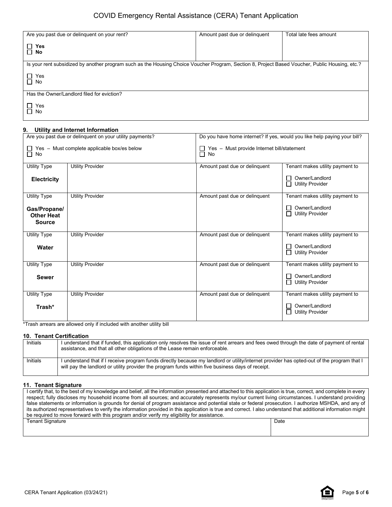| Are you past due or delinguent on your rent?                                                                                                   | Amount past due or delinquent | Total late fees amount |
|------------------------------------------------------------------------------------------------------------------------------------------------|-------------------------------|------------------------|
|                                                                                                                                                |                               |                        |
| □ Yes                                                                                                                                          |                               |                        |
| $\Box$ No                                                                                                                                      |                               |                        |
|                                                                                                                                                |                               |                        |
| Is your rent subsidized by another program such as the Housing Choice Voucher Program, Section 8, Project Based Voucher, Public Housing, etc.? |                               |                        |
|                                                                                                                                                |                               |                        |
| Yes<br>$\Box$                                                                                                                                  |                               |                        |
| $\Box$ No                                                                                                                                      |                               |                        |
|                                                                                                                                                |                               |                        |
| Has the Owner/Landlord filed for eviction?                                                                                                     |                               |                        |
|                                                                                                                                                |                               |                        |
| Yes<br>$\perp$                                                                                                                                 |                               |                        |
| $\Box$ No                                                                                                                                      |                               |                        |
|                                                                                                                                                |                               |                        |

#### **9. Utility and Internet Information**

| Are you past due or delinquent on your utility payments?        |                         | Do you have home internet? If yes, would you like help paying your bill? |                                                |
|-----------------------------------------------------------------|-------------------------|--------------------------------------------------------------------------|------------------------------------------------|
| $\Box$ Yes – Must complete applicable box/es below<br>$\Box$ No |                         | $\Box$ Yes - Must provide Internet bill/statement<br>$\Box$ No           |                                                |
| Utility Type                                                    | <b>Utility Provider</b> | Amount past due or delinquent                                            | Tenant makes utility payment to                |
| <b>Electricity</b>                                              |                         |                                                                          | Owner/Landlord<br><b>Utility Provider</b>      |
| <b>Utility Type</b>                                             | <b>Utility Provider</b> | Amount past due or delinquent                                            | Tenant makes utility payment to                |
| Gas/Propane/<br><b>Other Heat</b><br><b>Source</b>              |                         |                                                                          | Owner/Landlord<br>$\Box$ Utility Provider      |
| <b>Utility Type</b>                                             | <b>Utility Provider</b> | Amount past due or delinquent                                            | Tenant makes utility payment to                |
| Water                                                           |                         |                                                                          | Owner/Landlord<br><b>Utility Provider</b><br>П |
| <b>Utility Type</b>                                             | <b>Utility Provider</b> | Amount past due or delinquent                                            | Tenant makes utility payment to                |
| <b>Sewer</b>                                                    |                         |                                                                          | Owner/Landlord<br><b>Utility Provider</b><br>П |
| <b>Utility Type</b>                                             | <b>Utility Provider</b> | Amount past due or delinguent                                            | Tenant makes utility payment to                |
| Trash*                                                          |                         |                                                                          | Owner/Landlord<br><b>Utility Provider</b><br>П |

\*Trash arrears are allowed only if included with another utility bill

### **10. Tenant Certification**

| Initials | I understand that if funded, this application only resolves the issue of rent arrears and fees owed through the date of payment of rental<br>assistance, and that all other obligations of the Lease remain enforceable.                        |
|----------|-------------------------------------------------------------------------------------------------------------------------------------------------------------------------------------------------------------------------------------------------|
| Initials | I understand that if I receive program funds directly because my landlord or utility/internet provider has opted-out of the program that I<br>will pay the landlord or utility provider the program funds within five business days of receipt. |

### **11. Tenant Signature**

| I certify that, to the best of my knowledge and belief, all the information presented and attached to this application is true, correct, and complete in every |      |  |
|----------------------------------------------------------------------------------------------------------------------------------------------------------------|------|--|
| respect; fully discloses my household income from all sources; and accurately represents my/our current living circumstances. I understand providing           |      |  |
| false statements or information is grounds for denial of program assistance and potential state or federal prosecution. I authorize MSHDA, and any of          |      |  |
| its authorized representatives to verify the information provided in this application is true and correct. I also understand that additional information might |      |  |
| be required to move forward with this program and/or verify my eligibility for assistance.                                                                     |      |  |
| <b>Tenant Signature</b>                                                                                                                                        | Date |  |
|                                                                                                                                                                |      |  |